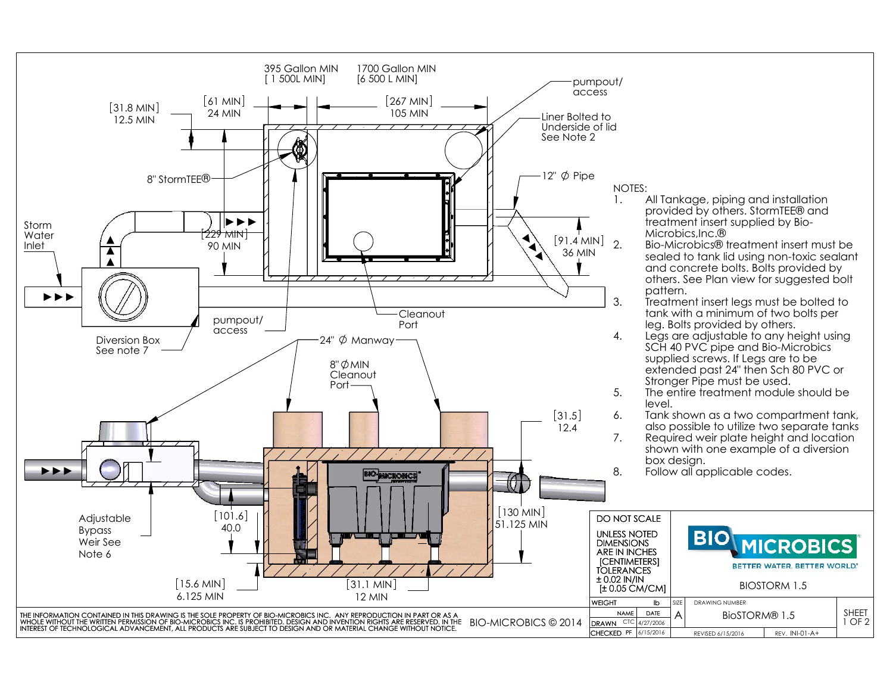